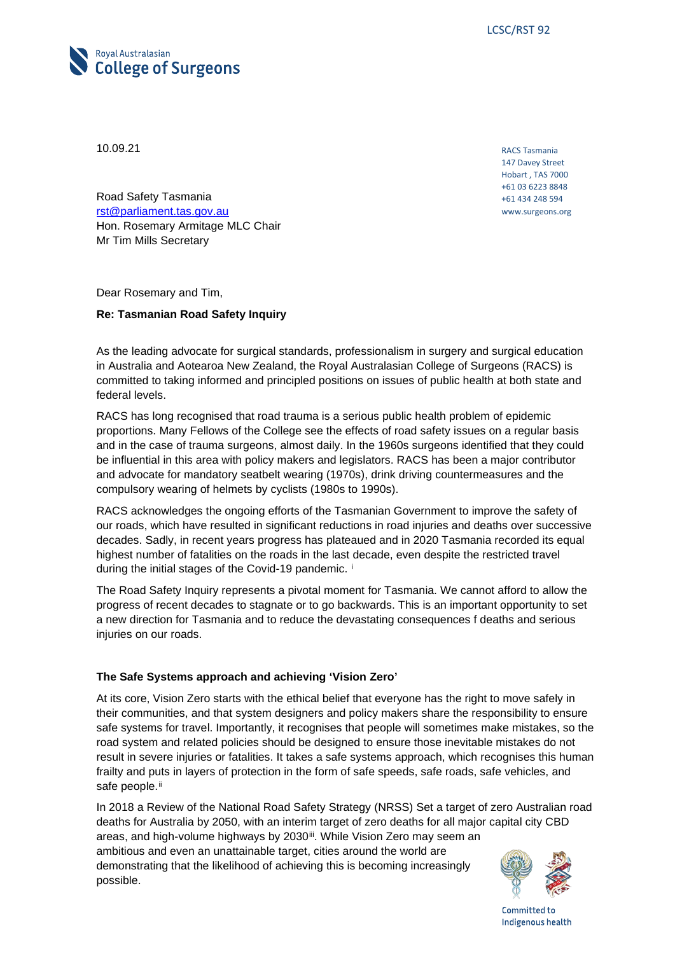

10.09.21

RACS Tasmania 147 Davey Street Hobart , TAS 7000 +61 03 6223 8848 +61 434 248 594 www.surgeons.org

Road Safety Tasmania [rst@parliament.tas.gov.au](mailto:rst@parliament.tas.gov.au) Hon. Rosemary Armitage MLC Chair Mr Tim Mills Secretary

Dear Rosemary and Tim,

# **Re: Tasmanian Road Safety Inquiry**

As the leading advocate for surgical standards, professionalism in surgery and surgical education in Australia and Aotearoa New Zealand, the Royal Australasian College of Surgeons (RACS) is committed to taking informed and principled positions on issues of public health at both state and federal levels.

RACS has long recognised that road trauma is a serious public health problem of epidemic proportions. Many Fellows of the College see the effects of road safety issues on a regular basis and in the case of trauma surgeons, almost daily. In the 1960s surgeons identified that they could be influential in this area with policy makers and legislators. RACS has been a major contributor and advocate for mandatory seatbelt wearing (1970s), drink driving countermeasures and the compulsory wearing of helmets by cyclists (1980s to 1990s).

RACS acknowledges the ongoing efforts of the Tasmanian Government to improve the safety of our roads, which have resulted in significant reductions in road injuries and deaths over successive decades. Sadly, in recent years progress has plateaued and in 2020 Tasmania recorded its equal highest number of fatalities on the roads in the last decade, even despite the restricted travel dur[i](#page-7-0)ng the initial stages of the Covid-19 pandemic. i

The Road Safety Inquiry represents a pivotal moment for Tasmania. We cannot afford to allow the progress of recent decades to stagnate or to go backwards. This is an important opportunity to set a new direction for Tasmania and to reduce the devastating consequences f deaths and serious injuries on our roads.

# **The Safe Systems approach and achieving 'Vision Zero'**

At its core, Vision Zero starts with the ethical belief that everyone has the right to move safely in their communities, and that system designers and policy makers share the responsibility to ensure safe systems for travel. Importantly, it recognises that people will sometimes make mistakes, so the road system and related policies should be designed to ensure those inevitable mistakes do not result in severe injuries or fatalities. It takes a safe systems approach, which recognises this human frailty and puts in layers of protection in the form of safe speeds, safe roads, safe vehicles, and safe people.<sup>[ii](#page-7-1)</sup>

In 2018 a Review of the National Road Safety Strategy (NRSS) Set a target of zero Australian road deaths for Australia by 2050, with an interim target of zero deaths for all major capital city CBD areas, and high-volume highways by 2030ii. While Vision Zero may seem an ambitious and even an unattainable target, cities around the world are demonstrating that the likelihood of achieving this is becoming increasingly possible.

Committed to Indigenous health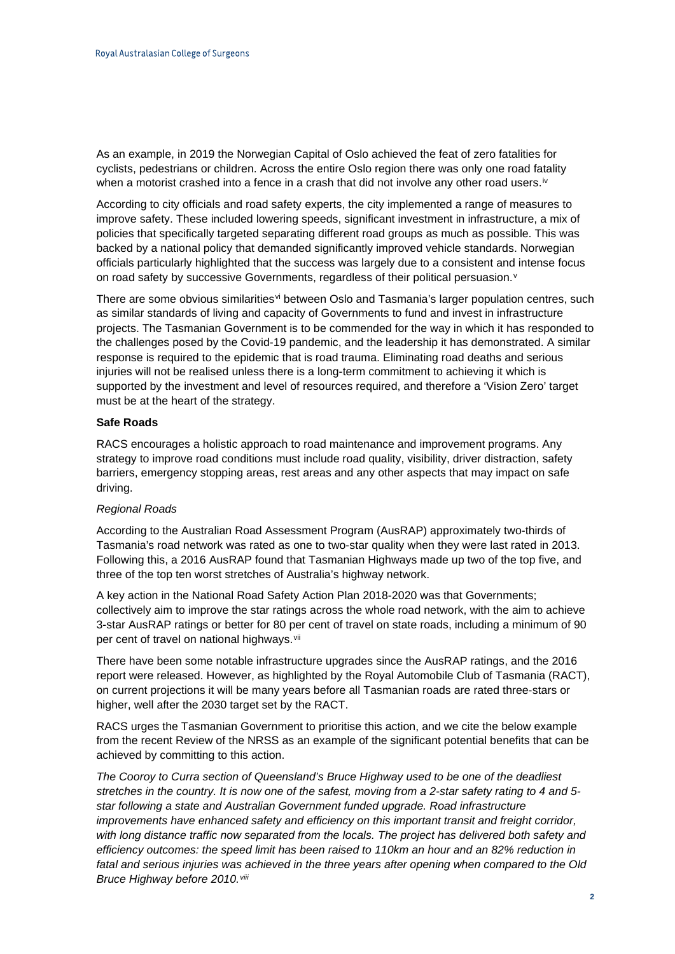As an example, in 2019 the Norwegian Capital of Oslo achieved the feat of zero fatalities for cyclists, pedestrians or children. Across the entire Oslo region there was only one road fatality when a motorist crashed into a fence in a crash that did not involve any other road users.<sup>[iv](#page-7-3)</sup>

According to city officials and road safety experts, the city implemented a range of measures to improve safety. These included lowering speeds, significant investment in infrastructure, a mix of policies that specifically targeted separating different road groups as much as possible. This was backed by a national policy that demanded significantly improved vehicle standards. Norwegian officials particularly highlighted that the success was largely due to a consistent and intense focus on road safety by successi[v](#page-7-4)e Governments, regardless of their political persuasion.<sup>v</sup>

There are some ob[vi](#page-7-5)ous similarities<sup>vi</sup> between Oslo and Tasmania's larger population centres, such as similar standards of living and capacity of Governments to fund and invest in infrastructure projects. The Tasmanian Government is to be commended for the way in which it has responded to the challenges posed by the Covid-19 pandemic, and the leadership it has demonstrated. A similar response is required to the epidemic that is road trauma. Eliminating road deaths and serious injuries will not be realised unless there is a long-term commitment to achieving it which is supported by the investment and level of resources required, and therefore a 'Vision Zero' target must be at the heart of the strategy.

# **Safe Roads**

RACS encourages a holistic approach to road maintenance and improvement programs. Any strategy to improve road conditions must include road quality, visibility, driver distraction, safety barriers, emergency stopping areas, rest areas and any other aspects that may impact on safe driving.

# *Regional Roads*

According to the Australian Road Assessment Program (AusRAP) approximately two-thirds of Tasmania's road network was rated as one to two-star quality when they were last rated in 2013. Following this, a 2016 AusRAP found that Tasmanian Highways made up two of the top five, and three of the top ten worst stretches of Australia's highway network.

A key action in the National Road Safety Action Plan 2018-2020 was that Governments; collectively aim to improve the star ratings across the whole road network, with the aim to achieve 3-star AusRAP ratings or better for 80 per cent of travel on state roads, including a minimum of 90 per cent of travel on national highways.<sup>[vii](#page-7-6)</sup>

There have been some notable infrastructure upgrades since the AusRAP ratings, and the 2016 report were released. However, as highlighted by the Royal Automobile Club of Tasmania (RACT), on current projections it will be many years before all Tasmanian roads are rated three-stars or higher, well after the 2030 target set by the RACT.

RACS urges the Tasmanian Government to prioritise this action, and we cite the below example from the recent Review of the NRSS as an example of the significant potential benefits that can be achieved by committing to this action.

*The Cooroy to Curra section of Queensland's Bruce Highway used to be one of the deadliest stretches in the country. It is now one of the safest, moving from a 2-star safety rating to 4 and 5 star following a state and Australian Government funded upgrade. Road infrastructure*  improvements have enhanced safety and efficiency on this important transit and freight corridor, *with long distance traffic now separated from the locals. The project has delivered both safety and efficiency outcomes: the speed limit has been raised to 110km an hour and an 82% reduction in fatal and serious injuries was achieved in the three years after opening when compared to the Old Bruce Highway before 2010.[viii](#page-7-7)*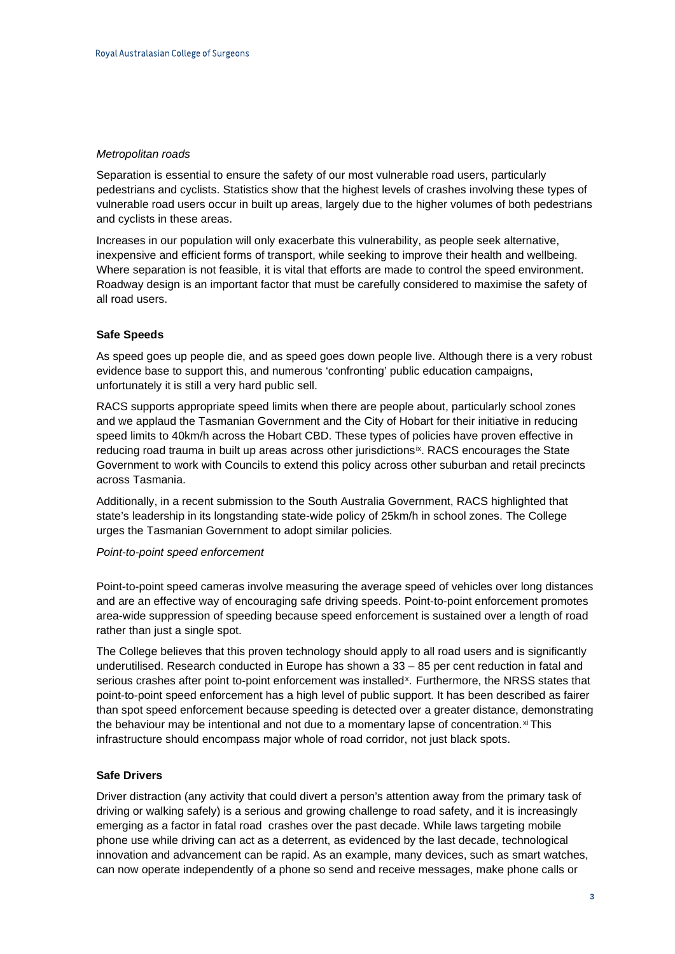## *Metropolitan roads*

Separation is essential to ensure the safety of our most vulnerable road users, particularly pedestrians and cyclists. Statistics show that the highest levels of crashes involving these types of vulnerable road users occur in built up areas, largely due to the higher volumes of both pedestrians and cyclists in these areas.

Increases in our population will only exacerbate this vulnerability, as people seek alternative, inexpensive and efficient forms of transport, while seeking to improve their health and wellbeing. Where separation is not feasible, it is vital that efforts are made to control the speed environment. Roadway design is an important factor that must be carefully considered to maximise the safety of all road users.

# **Safe Speeds**

As speed goes up people die, and as speed goes down people live. Although there is a very robust evidence base to support this, and numerous 'confronting' public education campaigns, unfortunately it is still a very hard public sell.

RACS supports appropriate speed limits when there are people about, particularly school zones and we applaud the Tasmanian Government and the City of Hobart for their initiative in reducing speed limits to 40km/h across the Hobart CBD. These types of policies have proven effective in reducing road trauma in built up areas across other jurisdictions<sup>ix</sup>. RACS encourages the State Government to work with Councils to extend this policy across other suburban and retail precincts across Tasmania.

Additionally, in a recent submission to the South Australia Government, RACS highlighted that state's leadership in its longstanding state-wide policy of 25km/h in school zones. The College urges the Tasmanian Government to adopt similar policies.

#### *Point-to-point speed enforcement*

Point-to-point speed cameras involve measuring the average speed of vehicles over long distances and are an effective way of encouraging safe driving speeds. Point-to-point enforcement promotes area-wide suppression of speeding because speed enforcement is sustained over a length of road rather than just a single spot.

The College believes that this proven technology should apply to all road users and is significantly underutilised. Research conducted in Europe has shown a 33 – 85 per cent reduction in fatal and serious crashes after point to-point enforcement was installed<sup>x</sup>. Furthermore, the NRSS states that point-to-point speed enforcement has a high level of public support. It has been described as fairer than spot speed enforcement because speeding is detected over a greater distance, demonstrating the behaviour may be intentional and not due to a momentary lapse of concentration. $x$  This infrastructure should encompass major whole of road corridor, not just black spots.

#### **Safe Drivers**

Driver distraction (any activity that could divert a person's attention away from the primary task of driving or walking safely) is a serious and growing challenge to road safety, and it is increasingly emerging as a factor in fatal road crashes over the past decade. While laws targeting mobile phone use while driving can act as a deterrent, as evidenced by the last decade, technological innovation and advancement can be rapid. As an example, many devices, such as smart watches, can now operate independently of a phone so send and receive messages, make phone calls or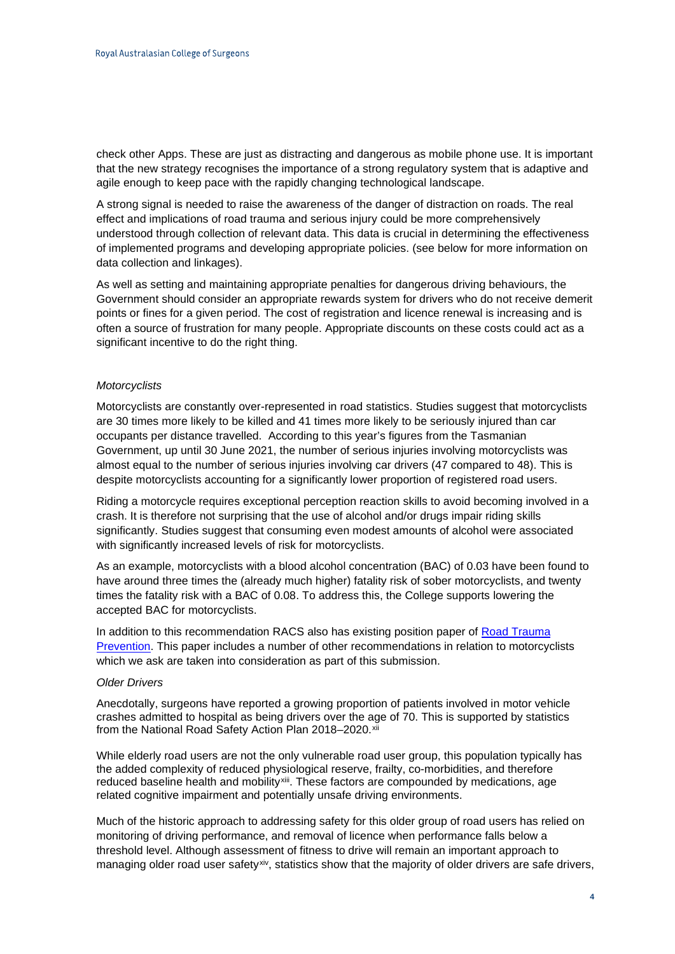check other Apps. These are just as distracting and dangerous as mobile phone use. It is important that the new strategy recognises the importance of a strong regulatory system that is adaptive and agile enough to keep pace with the rapidly changing technological landscape.

A strong signal is needed to raise the awareness of the danger of distraction on roads. The real effect and implications of road trauma and serious injury could be more comprehensively understood through collection of relevant data. This data is crucial in determining the effectiveness of implemented programs and developing appropriate policies. (see below for more information on data collection and linkages).

As well as setting and maintaining appropriate penalties for dangerous driving behaviours, the Government should consider an appropriate rewards system for drivers who do not receive demerit points or fines for a given period. The cost of registration and licence renewal is increasing and is often a source of frustration for many people. Appropriate discounts on these costs could act as a significant incentive to do the right thing.

## *Motorcyclists*

Motorcyclists are constantly over-represented in road statistics. Studies suggest that motorcyclists are 30 times more likely to be killed and 41 times more likely to be seriously injured than car occupants per distance travelled. According to this year's figures from the Tasmanian Government, up until 30 June 2021, the number of serious injuries involving motorcyclists was almost equal to the number of serious injuries involving car drivers (47 compared to 48). This is despite motorcyclists accounting for a significantly lower proportion of registered road users.

Riding a motorcycle requires exceptional perception reaction skills to avoid becoming involved in a crash. It is therefore not surprising that the use of alcohol and/or drugs impair riding skills significantly. Studies suggest that consuming even modest amounts of alcohol were associated with significantly increased levels of risk for motorcyclists.

As an example, motorcyclists with a blood alcohol concentration (BAC) of 0.03 have been found to have around three times the (already much higher) fatality risk of sober motorcyclists, and twenty times the fatality risk with a BAC of 0.08. To address this, the College supports lowering the accepted BAC for motorcyclists.

In addition to this recommendation RACS also has existing position paper of Road Trauma [Prevention.](https://www.surgeons.org/-/media/Project/RACS/surgeons-org/files/position-papers/2015-09-09_pos_fes-fel-046_road_trauma_prevention.pdf?rev=f8b0f48a3fa744d19cd6e03c6dc46da7) This paper includes a number of other recommendations in relation to motorcyclists which we ask are taken into consideration as part of this submission.

## *Older Drivers*

Anecdotally, surgeons have reported a growing proportion of patients involved in motor vehicle crashes admitted to hospital as being drivers over the age of 70. This is supported by statistics from the [National Road Safety Action Plan 2018–2020.](https://www.roadsafety.gov.au/action-plan/2018-2020)[xii](#page-7-11)

While elderly road users are not the only vulnerable road user group, this population typically has the added complexity of reduced physiological reserve, frailty, co-morbidities, and therefore reduced baseline health and mobility[xiii](#page-7-12). These factors are compounded by medications, age related cognitive impairment and potentially unsafe driving environments.

Much of the historic approach to addressing safety for this older group of road users has relied on monitoring of driving performance, and removal of licence when performance falls below a threshold level. Although assessment of fitness to drive will remain an important approach to managing older road user safety[xiv](#page-7-13), statistics show that the majority of older drivers are safe drivers,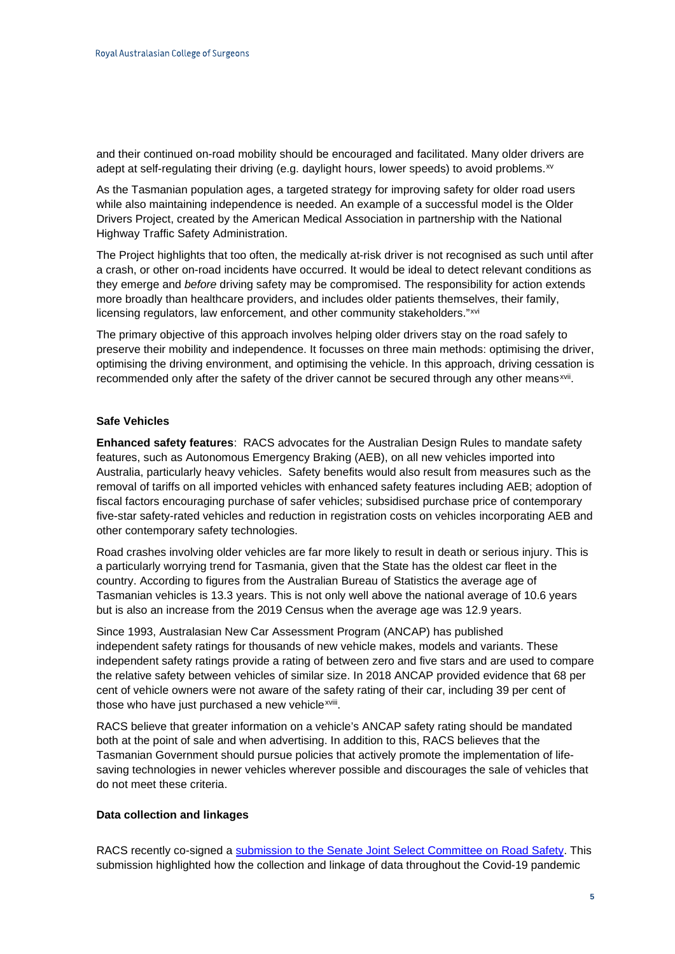and their continued on-road mobility should be encouraged and facilitated. Many older drivers are adept at self-regulating their driving (e.g. daylight hours, lower speeds) to avoid problems.<sup>[xv](#page-7-14)</sup>

As the Tasmanian population ages, a targeted strategy for improving safety for older road users while also maintaining independence is needed. An example of a successful model is the Older Drivers Project, created by the American Medical Association in partnership with the National Highway Traffic Safety Administration.

The Project highlights that too often, the medically at-risk driver is not recognised as such until after a crash, or other on-road incidents have occurred. It would be ideal to detect relevant conditions as they emerge and *before* driving safety may be compromised. The responsibility for action extends more broadly than healthcare providers, and includes older patients themselves, their family, licensing regulators, law enforcement, and other community stakeholders."[xvi](#page-7-15)

The primary objective of this approach involves helping older drivers stay on the road safely to preserve their mobility and independence. It focusses on three main methods: optimising the driver, optimising the driving environment, and optimising the vehicle. In this approach, driving cessation is recommended only after the safety of the driver cannot be secured through any other means<sup>xvii</sup>.

# **Safe Vehicles**

**Enhanced safety features**: RACS advocates for the Australian Design Rules to mandate safety features, such as Autonomous Emergency Braking (AEB), on all new vehicles imported into Australia, particularly heavy vehicles. Safety benefits would also result from measures such as the removal of tariffs on all imported vehicles with enhanced safety features including AEB; adoption of fiscal factors encouraging purchase of safer vehicles; subsidised purchase price of contemporary five-star safety-rated vehicles and reduction in registration costs on vehicles incorporating AEB and other contemporary safety technologies.

Road crashes involving older vehicles are far more likely to result in death or serious injury. This is a particularly worrying trend for Tasmania, given that the State has the oldest car fleet in the country. According to figures from the Australian Bureau of Statistics the average age of Tasmanian vehicles is 13.3 years. This is not only well above the national average of 10.6 years but is also an increase from the 2019 Census when the average age was 12.9 years.

Since 1993, Australasian New Car Assessment Program (ANCAP) has published independent [safety ratings](https://www.ancap.com.au/safety-ratings) for thousands of new vehicle makes, models and variants. These independent safety ratings provide a rating of between zero and five stars and are used to compare the relative safety between vehicles of similar size. In 2018 ANCAP provided evidence that 68 per cent of vehicle owners were not aware of the safety rating of their car, including 39 per cent of those who have just purchased a new vehicle<sup>xviii</sup>.

RACS believe that greater information on a vehicle's ANCAP safety rating should be mandated both at the point of sale and when advertising. In addition to this, RACS believes that the Tasmanian Government should pursue policies that actively promote the implementation of lifesaving technologies in newer vehicles wherever possible and discourages the sale of vehicles that do not meet these criteria.

# **Data collection and linkages**

RACS recently co-signed a [submission to the Senate Joint Select Committee on Road Safety.](https://www.surgeons.org/News/Advocacy/Letter-to-Joint-Select-Committee-on-Road-Safety) This submission highlighted how the collection and linkage of data throughout the Covid-19 pandemic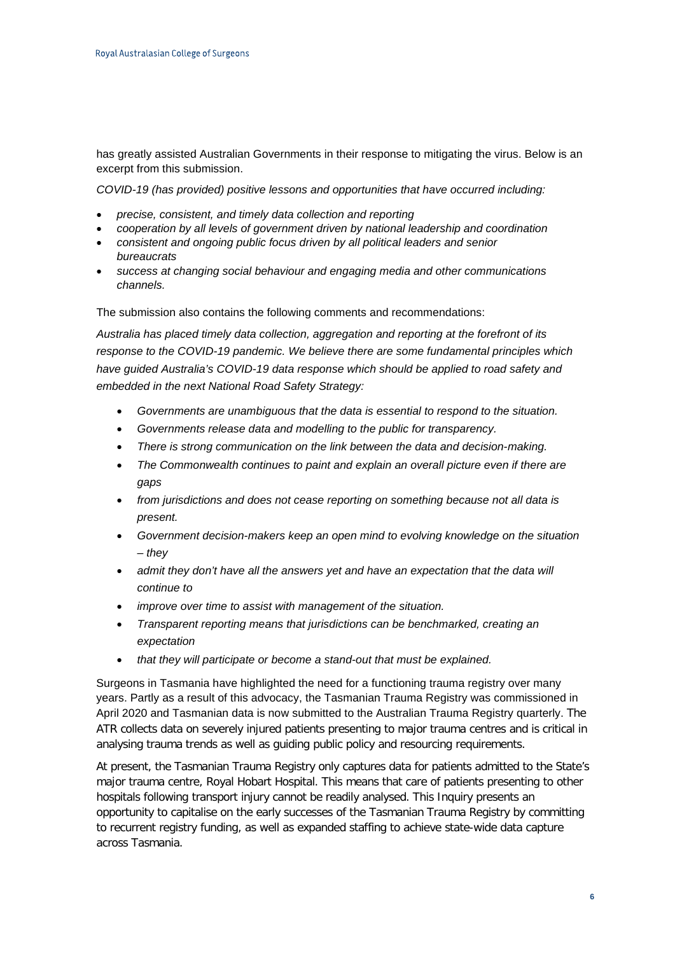has greatly assisted Australian Governments in their response to mitigating the virus. Below is an excerpt from this submission.

*COVID-19 (has provided) positive lessons and opportunities that have occurred including:*

- *precise, consistent, and timely data collection and reporting*
- *cooperation by all levels of government driven by national leadership and coordination*
- *consistent and ongoing public focus driven by all political leaders and senior bureaucrats*
- *success at changing social behaviour and engaging media and other communications channels.*

The submission also contains the following comments and recommendations:

*Australia has placed timely data collection, aggregation and reporting at the forefront of its response to the COVID-19 pandemic. We believe there are some fundamental principles which*  have guided Australia's COVID-19 data response which should be applied to road safety and *embedded in the next National Road Safety Strategy:* 

- *Governments are unambiguous that the data is essential to respond to the situation.*
- *Governments release data and modelling to the public for transparency.*
- *There is strong communication on the link between the data and decision-making.*
- *The Commonwealth continues to paint and explain an overall picture even if there are gaps*
- *from jurisdictions and does not cease reporting on something because not all data is present.*
- *Government decision-makers keep an open mind to evolving knowledge on the situation – they*
- *admit they don't have all the answers yet and have an expectation that the data will continue to*
- *improve over time to assist with management of the situation.*
- *Transparent reporting means that jurisdictions can be benchmarked, creating an expectation*
- *that they will participate or become a stand-out that must be explained.*

Surgeons in Tasmania have highlighted the need for a functioning trauma registry over many years. Partly as a result of this advocacy, the Tasmanian Trauma Registry was commissioned in April 2020 and Tasmanian data is now submitted to the Australian Trauma Registry quarterly. The ATR collects data on severely injured patients presenting to major trauma centres and is critical in analysing trauma trends as well as guiding public policy and resourcing requirements.

At present, the Tasmanian Trauma Registry only captures data for patients admitted to the State's major trauma centre, Royal Hobart Hospital. This means that care of patients presenting to other hospitals following transport injury cannot be readily analysed. This Inquiry presents an opportunity to capitalise on the early successes of the Tasmanian Trauma Registry by committing to recurrent registry funding, as well as expanded staffing to achieve state-wide data capture across Tasmania.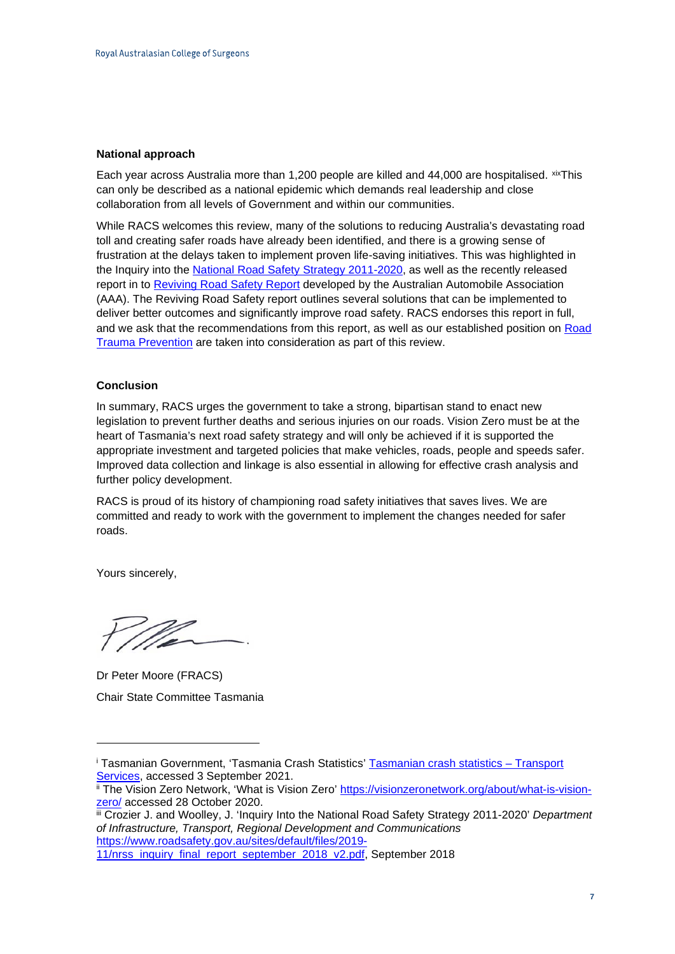## **National approach**

Each year across Australia more than 1,200 people are killed and 44,000 are hospitalised. [xixT](#page-7-18)his can only be described as a national epidemic which demands real leadership and close collaboration from all levels of Government and within our communities.

While RACS welcomes this review, many of the solutions to reducing Australia's devastating road toll and creating safer roads have already been identified, and there is a growing sense of frustration at the delays taken to implement proven life-saving initiatives. This was highlighted in the [Inquiry into the National Road Safety Strategy 2011-2020,](https://umbraco.surgeons.org/media/3213/nrss-inquiry-final-report-september-2018-revised.pdf) as well as the recently released report in to [Reviving Road Safety](https://www.aaa.asn.au/wp-content/uploads/2019/09/AAA-Reviving-Road-Safety-2019.pdf) Report developed by the Australian Automobile Association (AAA). The Reviving Road Safety report outlines several solutions that can be implemented to deliver better outcomes and significantly improve road safety. RACS endorses this report in full, and we ask that the recommendations from this report, as well as our established position on Road [Trauma Prevention](https://www.surgeons.org/-/media/Project/RACS/surgeons-org/files/position-papers/2015-09-09_pos_fes-fel-046_road_trauma_prevention.pdf?rev=f8b0f48a3fa744d19cd6e03c6dc46da7) are taken into consideration as part of this review.

## **Conclusion**

In summary, RACS urges the government to take a strong, bipartisan stand to enact new legislation to prevent further deaths and serious injuries on our roads. Vision Zero must be at the heart of Tasmania's next road safety strategy and will only be achieved if it is supported the appropriate investment and targeted policies that make vehicles, roads, people and speeds safer. Improved data collection and linkage is also essential in allowing for effective crash analysis and further policy development.

RACS is proud of its history of championing road safety initiatives that saves lives. We are committed and ready to work with the government to implement the changes needed for safer roads.

Yours sincerely,

Dr Peter Moore (FRACS) Chair State Committee Tasmania

<sup>&</sup>lt;sup>i</sup> Tasmanian Government, 'Tasmania Crash Statistics' **Tasmanian crash statistics – Transport**<br>Services, accessed 3 September 2021.

ii The Vision Zero Network, 'What is Vision Zero' [https://visionzeronetwork.org/about/what-is-vision](https://visionzeronetwork.org/about/what-is-vision-zero/)[zero/](https://visionzeronetwork.org/about/what-is-vision-zero/) accessed 28 October 2020.

iii Crozier J. and Woolley, J. 'Inquiry Into the National Road Safety Strategy 2011-2020' *Department of Infrastructure, Transport, Regional Development and Communications*  [https://www.roadsafety.gov.au/sites/default/files/2019-](https://www.roadsafety.gov.au/sites/default/files/2019-11/nrss_inquiry_final_report_september_2018_v2.pdf)

[<sup>11/</sup>nrss\\_inquiry\\_final\\_report\\_september\\_2018\\_v2.pdf,](https://www.roadsafety.gov.au/sites/default/files/2019-11/nrss_inquiry_final_report_september_2018_v2.pdf) September 2018